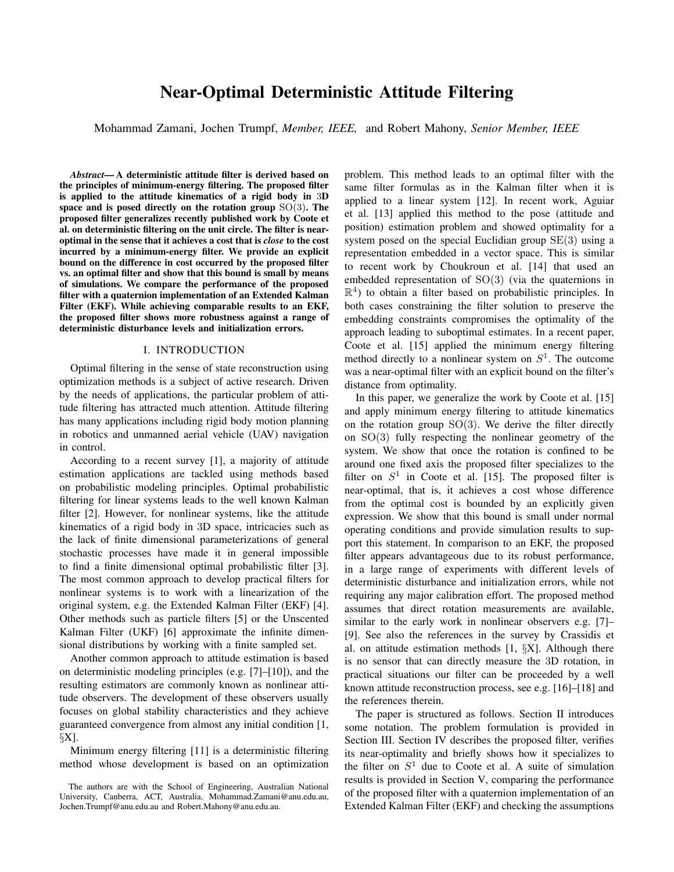# Near-Optimal Deterministic Attitude Filtering

Mohammad Zamani, Jochen Trumpf, *Member, IEEE,* and Robert Mahony, *Senior Member, IEEE*

*Abstract*— A deterministic attitude filter is derived based on the principles of minimum-energy filtering. The proposed filter is applied to the attitude kinematics of a rigid body in 3D space and is posed directly on the rotation group SO(3). The proposed filter generalizes recently published work by Coote et al. on deterministic filtering on the unit circle. The filter is nearoptimal in the sense that it achieves a cost that is *close* to the cost incurred by a minimum-energy filter. We provide an explicit bound on the difference in cost occurred by the proposed filter vs. an optimal filter and show that this bound is small by means of simulations. We compare the performance of the proposed filter with a quaternion implementation of an Extended Kalman Filter (EKF). While achieving comparable results to an EKF, the proposed filter shows more robustness against a range of deterministic disturbance levels and initialization errors.

## I. INTRODUCTION

Optimal filtering in the sense of state reconstruction using optimization methods is a subject of active research. Driven by the needs of applications, the particular problem of attitude filtering has attracted much attention. Attitude filtering has many applications including rigid body motion planning in robotics and unmanned aerial vehicle (UAV) navigation in control.

According to a recent survey [1], a majority of attitude estimation applications are tackled using methods based on probabilistic modeling principles. Optimal probabilistic filtering for linear systems leads to the well known Kalman filter [2]. However, for nonlinear systems, like the attitude kinematics of a rigid body in 3D space, intricacies such as the lack of finite dimensional parameterizations of general stochastic processes have made it in general impossible to find a finite dimensional optimal probabilistic filter [3]. The most common approach to develop practical filters for nonlinear systems is to work with a linearization of the original system, e.g. the Extended Kalman Filter (EKF) [4]. Other methods such as particle filters [5] or the Unscented Kalman Filter (UKF) [6] approximate the infinite dimensional distributions by working with a finite sampled set.

Another common approach to attitude estimation is based on deterministic modeling principles (e.g. [7]–[10]), and the resulting estimators are commonly known as nonlinear attitude observers. The development of these observers usually focuses on global stability characteristics and they achieve guaranteed convergence from almost any initial condition [1,  $\SX$ ].

Minimum energy filtering [11] is a deterministic filtering method whose development is based on an optimization problem. This method leads to an optimal filter with the same filter formulas as in the Kalman filter when it is applied to a linear system [12]. In recent work, Aguiar et al. [13] applied this method to the pose (attitude and position) estimation problem and showed optimality for a system posed on the special Euclidian group  $SE(3)$  using a representation embedded in a vector space. This is similar to recent work by Choukroun et al. [14] that used an embedded representation of SO(3) (via the quaternions in  $\mathbb{R}^4$ ) to obtain a filter based on probabilistic principles. In both cases constraining the filter solution to preserve the embedding constraints compromises the optimality of the approach leading to suboptimal estimates. In a recent paper, Coote et al. [15] applied the minimum energy filtering method directly to a nonlinear system on  $S<sup>1</sup>$ . The outcome was a near-optimal filter with an explicit bound on the filter's distance from optimality.

In this paper, we generalize the work by Coote et al. [15] and apply minimum energy filtering to attitude kinematics on the rotation group  $SO(3)$ . We derive the filter directly on SO(3) fully respecting the nonlinear geometry of the system. We show that once the rotation is confined to be around one fixed axis the proposed filter specializes to the filter on  $S^1$  in Coote et al. [15]. The proposed filter is near-optimal, that is, it achieves a cost whose difference from the optimal cost is bounded by an explicitly given expression. We show that this bound is small under normal operating conditions and provide simulation results to support this statement. In comparison to an EKF, the proposed filter appears advantageous due to its robust performance, in a large range of experiments with different levels of deterministic disturbance and initialization errors, while not requiring any major calibration effort. The proposed method assumes that direct rotation measurements are available, similar to the early work in nonlinear observers e.g. [7]– [9]. See also the references in the survey by Crassidis et al. on attitude estimation methods  $[1, \S X]$ . Although there is no sensor that can directly measure the 3D rotation, in practical situations our filter can be proceeded by a well known attitude reconstruction process, see e.g. [16]–[18] and the references therein.

The paper is structured as follows. Section II introduces some notation. The problem formulation is provided in Section III. Section IV describes the proposed filter, verifies its near-optimality and briefly shows how it specializes to the filter on  $S<sup>1</sup>$  due to Coote et al. A suite of simulation results is provided in Section V, comparing the performance of the proposed filter with a quaternion implementation of an Extended Kalman Filter (EKF) and checking the assumptions

The authors are with the School of Engineering, Australian National University, Canberra, ACT, Australia. Mohammad.Zamani@anu.edu.au, Jochen.Trumpf@anu.edu.au and Robert.Mahony@anu.edu.au.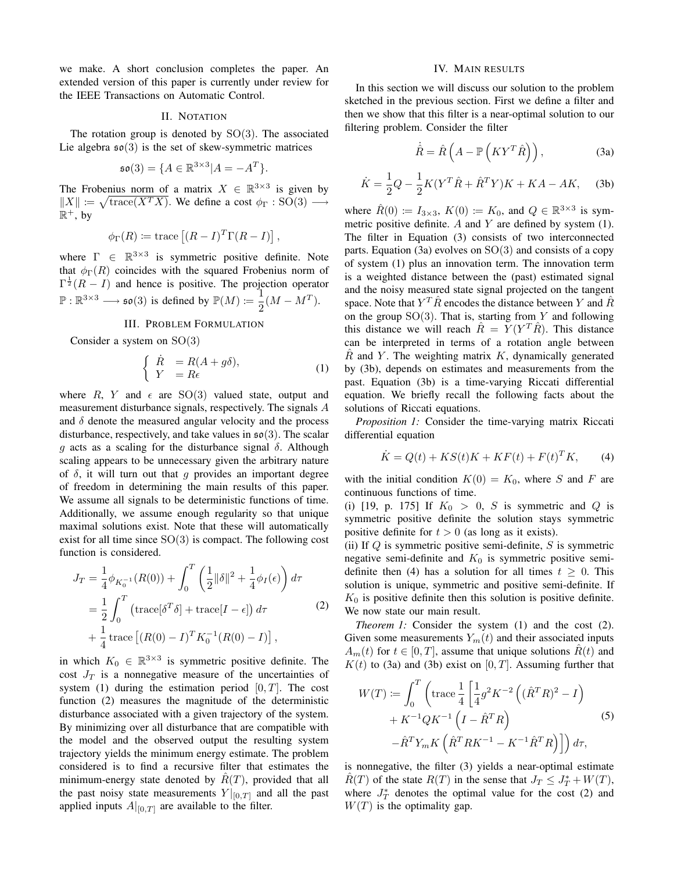we make. A short conclusion completes the paper. An extended version of this paper is currently under review for the IEEE Transactions on Automatic Control.

## II. NOTATION

The rotation group is denoted by  $SO(3)$ . The associated Lie algebra  $\mathfrak{so}(3)$  is the set of skew-symmetric matrices

$$
\mathfrak{so}(3) = \{ A \in \mathbb{R}^{3 \times 3} | A = -A^T \}.
$$

The Frobenius norm of a matrix  $X \in \mathbb{R}^{3 \times 3}$  is given by  $||X|| \coloneqq \sqrt{\text{trace}(X^T X)}$ . We define a cost  $\phi_{\Gamma} : SO(3) \longrightarrow$  $\mathbb R^+,$  by

$$
\phi_{\Gamma}(R) \coloneqq \text{trace}\left[ (R - I)^{T} \Gamma(R - I) \right],
$$

where  $\Gamma \in \mathbb{R}^{3 \times 3}$  is symmetric positive definite. Note that  $\phi_{\Gamma}(R)$  coincides with the squared Frobenius norm of  $\Gamma^{\frac{1}{2}}(R - I)$  and hence is positive. The projection operator  $\mathbb{P}: \mathbb{R}^{3\times 3} \longrightarrow$   $\mathfrak{so}(3)$  is defined by  $\mathbb{P}(M) := \frac{1}{2}$  $rac{1}{2}(M - M^T).$ 

## III. PROBLEM FORMULATION

Consider a system on SO(3)

$$
\begin{cases}\n\dot{R} = R(A + g\delta), \\
Y = R\epsilon\n\end{cases}
$$
\n(1)

where R, Y and  $\epsilon$  are SO(3) valued state, output and measurement disturbance signals, respectively. The signals A and  $\delta$  denote the measured angular velocity and the process disturbance, respectively, and take values in  $\mathfrak{so}(3)$ . The scalar q acts as a scaling for the disturbance signal  $\delta$ . Although scaling appears to be unnecessary given the arbitrary nature of  $\delta$ , it will turn out that q provides an important degree of freedom in determining the main results of this paper. We assume all signals to be deterministic functions of time. Additionally, we assume enough regularity so that unique maximal solutions exist. Note that these will automatically exist for all time since  $SO(3)$  is compact. The following cost function is considered.

$$
J_T = \frac{1}{4} \phi_{K_0^{-1}}(R(0)) + \int_0^T \left(\frac{1}{2} ||\delta||^2 + \frac{1}{4} \phi_I(\epsilon)\right) d\tau
$$
  
=  $\frac{1}{2} \int_0^T \left(\text{trace}[\delta^T \delta] + \text{trace}[I - \epsilon]\right) d\tau$   
+  $\frac{1}{4} \text{trace}\left[(R(0) - I)^T K_0^{-1}(R(0) - I)\right],$  (2)

in which  $K_0 \in \mathbb{R}^{3 \times 3}$  is symmetric positive definite. The cost  $J_T$  is a nonnegative measure of the uncertainties of system (1) during the estimation period  $[0, T]$ . The cost function (2) measures the magnitude of the deterministic disturbance associated with a given trajectory of the system. By minimizing over all disturbance that are compatible with the model and the observed output the resulting system trajectory yields the minimum energy estimate. The problem considered is to find a recursive filter that estimates the minimum-energy state denoted by  $R(T)$ , provided that all the past noisy state measurements  $Y|_{[0,T]}$  and all the past applied inputs  $A|_{[0,T]}$  are available to the filter.

#### IV. MAIN RESULTS

In this section we will discuss our solution to the problem sketched in the previous section. First we define a filter and then we show that this filter is a near-optimal solution to our filtering problem. Consider the filter

$$
\dot{\hat{R}} = \hat{R} \left( A - \mathbb{P} \left( K Y^T \hat{R} \right) \right), \tag{3a}
$$

$$
\dot{K} = \frac{1}{2}Q - \frac{1}{2}K(Y^T \hat{R} + \hat{R}^T Y)K + KA - AK,
$$
 (3b)

where  $\hat{R}(0) \coloneqq I_{3\times 3}$ ,  $K(0) \coloneqq K_0$ , and  $Q \in \mathbb{R}^{3\times 3}$  is symmetric positive definite.  $A$  and  $Y$  are defined by system (1). The filter in Equation (3) consists of two interconnected parts. Equation (3a) evolves on  $SO(3)$  and consists of a copy of system (1) plus an innovation term. The innovation term is a weighted distance between the (past) estimated signal and the noisy measured state signal projected on the tangent space. Note that  $Y^T \hat{R}$  encodes the distance between Y and  $\hat{R}$ on the group  $SO(3)$ . That is, starting from Y and following this distance we will reach  $\hat{R} = \tilde{Y}(Y^T \hat{R})$ . This distance can be interpreted in terms of a rotation angle between  $\hat{R}$  and Y. The weighting matrix K, dynamically generated by (3b), depends on estimates and measurements from the past. Equation (3b) is a time-varying Riccati differential equation. We briefly recall the following facts about the solutions of Riccati equations.

*Proposition 1:* Consider the time-varying matrix Riccati differential equation

$$
\dot{K} = Q(t) + KS(t)K + KF(t) + F(t)^T K, \qquad (4)
$$

with the initial condition  $K(0) = K_0$ , where S and F are continuous functions of time.

(i) [19, p. 175] If  $K_0 > 0$ , S is symmetric and Q is symmetric positive definite the solution stays symmetric positive definite for  $t > 0$  (as long as it exists).

(ii) If  $Q$  is symmetric positive semi-definite,  $S$  is symmetric negative semi-definite and  $K_0$  is symmetric positive semidefinite then (4) has a solution for all times  $t \geq 0$ . This solution is unique, symmetric and positive semi-definite. If  $K_0$  is positive definite then this solution is positive definite. We now state our main result.

*Theorem 1:* Consider the system (1) and the cost (2). Given some measurements  $Y_m(t)$  and their associated inputs  $A_m(t)$  for  $t \in [0, T]$ , assume that unique solutions  $\hat{R}(t)$  and  $K(t)$  to (3a) and (3b) exist on [0, T]. Assuming further that

$$
W(T) := \int_0^T \left( \text{trace} \frac{1}{4} \left[ \frac{1}{4} g^2 K^{-2} \left( (\hat{R}^T R)^2 - I \right) + K^{-1} Q K^{-1} \left( I - \hat{R}^T R \right) - \hat{R}^T Y_m K \left( \hat{R}^T R K^{-1} - K^{-1} \hat{R}^T R \right) \right] \right) d\tau,
$$
\n(5)

is nonnegative, the filter (3) yields a near-optimal estimate  $\hat{R}(T)$  of the state  $R(T)$  in the sense that  $J_T \leq J_T^* + W(T)$ , where  $J_T^*$  denotes the optimal value for the cost (2) and  $W(T)$  is the optimality gap.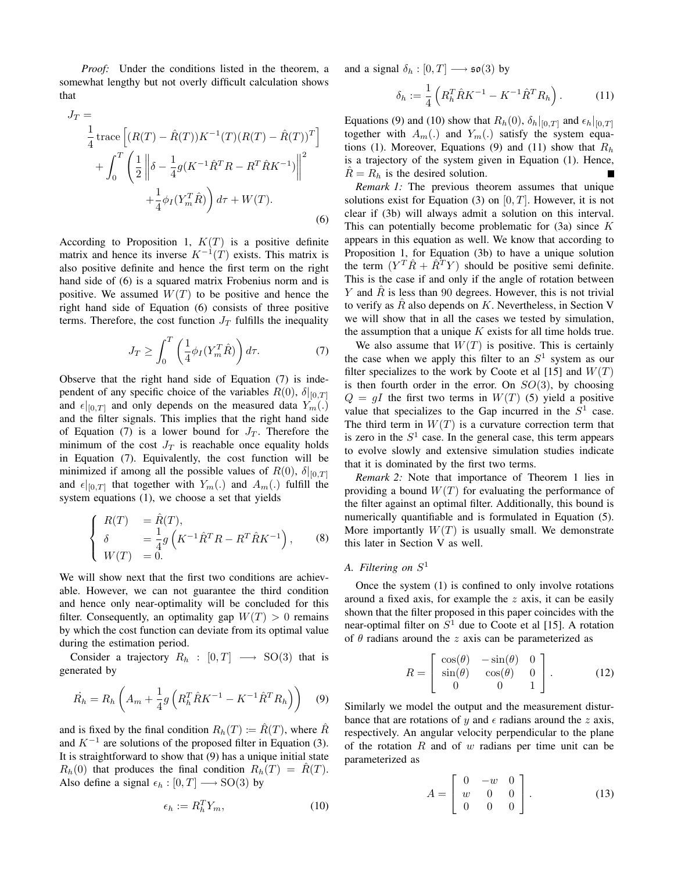*Proof:* Under the conditions listed in the theorem, a somewhat lengthy but not overly difficult calculation shows that

$$
J_T = \frac{1}{4} \operatorname{trace} \left[ (R(T) - \hat{R}(T)) K^{-1}(T) (R(T) - \hat{R}(T))^T \right] + \int_0^T \left( \frac{1}{2} \left\| \delta - \frac{1}{4} g (K^{-1} \hat{R}^T R - R^T \hat{R} K^{-1}) \right\|^2 \right. + \frac{1}{4} \phi_I (Y_m^T \hat{R}) \right) d\tau + W(T).
$$
 (6)

According to Proposition 1,  $K(T)$  is a positive definite matrix and hence its inverse  $K^{-1}(T)$  exists. This matrix is also positive definite and hence the first term on the right hand side of (6) is a squared matrix Frobenius norm and is positive. We assumed  $W(T)$  to be positive and hence the right hand side of Equation (6) consists of three positive terms. Therefore, the cost function  $J_T$  fulfills the inequality

$$
J_T \ge \int_0^T \left(\frac{1}{4}\phi_I(Y_m^T \hat{R})\right)d\tau.
$$
 (7)

Observe that the right hand side of Equation (7) is independent of any specific choice of the variables  $R(0)$ ,  $\delta|_{[0,T]}$ and  $\epsilon|_{[0,T]}$  and only depends on the measured data  $Y_m(.)$ and the filter signals. This implies that the right hand side of Equation (7) is a lower bound for  $J_T$ . Therefore the minimum of the cost  $J_T$  is reachable once equality holds in Equation (7). Equivalently, the cost function will be minimized if among all the possible values of  $R(0)$ ,  $\delta|_{[0,T]}$ and  $\epsilon|_{[0,T]}$  that together with  $Y_m(.)$  and  $A_m(.)$  fulfill the system equations (1), we choose a set that yields

$$
\begin{cases}\nR(T) &= \hat{R}(T), \\
\delta &= \frac{1}{4}g\left(K^{-1}\hat{R}^T R - R^T \hat{R} K^{-1}\right), \\
W(T) &= 0.\n\end{cases}
$$
\n(8)

We will show next that the first two conditions are achievable. However, we can not guarantee the third condition and hence only near-optimality will be concluded for this filter. Consequently, an optimality gap  $W(T) > 0$  remains by which the cost function can deviate from its optimal value during the estimation period.

Consider a trajectory  $R_h : [0, T] \longrightarrow SO(3)$  that is generated by

$$
\dot{R_h} = R_h \left( A_m + \frac{1}{4} g \left( R_h^T \hat{R} K^{-1} - K^{-1} \hat{R}^T R_h \right) \right) \tag{9}
$$

and is fixed by the final condition  $R_h(T) := \hat{R}(T)$ , where  $\hat{R}$ and  $K^{-1}$  are solutions of the proposed filter in Equation (3). It is straightforward to show that (9) has a unique initial state  $R_h(0)$  that produces the final condition  $R_h(T) = \hat{R}(T)$ . Also define a signal  $\epsilon_h : [0, T] \longrightarrow SO(3)$  by

$$
\epsilon_h := R_h^T Y_m,\tag{10}
$$

and a signal  $\delta_h : [0, T] \longrightarrow \mathfrak{so}(3)$  by

$$
\delta_h := \frac{1}{4} \left( R_h^T \hat{R} K^{-1} - K^{-1} \hat{R}^T R_h \right). \tag{11}
$$

Equations (9) and (10) show that  $R_h(0)$ ,  $\delta_h|_{[0,T]}$  and  $\epsilon_h|_{[0,T]}$ together with  $A_m(.)$  and  $Y_m(.)$  satisfy the system equations (1). Moreover, Equations (9) and (11) show that  $R_h$ is a trajectory of the system given in Equation (1). Hence,  $R = R<sub>h</sub>$  is the desired solution. Е

*Remark 1:* The previous theorem assumes that unique solutions exist for Equation (3) on  $[0, T]$ . However, it is not clear if (3b) will always admit a solution on this interval. This can potentially become problematic for  $(3a)$  since K appears in this equation as well. We know that according to Proposition 1, for Equation (3b) to have a unique solution the term  $(Y^T \hat{R} + \hat{R}^T Y)$  should be positive semi definite. This is the case if and only if the angle of rotation between Y and R is less than 90 degrees. However, this is not trivial to verify as  $\hat{R}$  also depends on K. Nevertheless, in Section V we will show that in all the cases we tested by simulation, the assumption that a unique  $K$  exists for all time holds true.

We also assume that  $W(T)$  is positive. This is certainly the case when we apply this filter to an  $S<sup>1</sup>$  system as our filter specializes to the work by Coote et al [15] and  $W(T)$ is then fourth order in the error. On  $SO(3)$ , by choosing  $Q = gI$  the first two terms in  $W(T)$  (5) yield a positive value that specializes to the Gap incurred in the  $S<sup>1</sup>$  case. The third term in  $W(T)$  is a curvature correction term that is zero in the  $S<sup>1</sup>$  case. In the general case, this term appears to evolve slowly and extensive simulation studies indicate that it is dominated by the first two terms.

*Remark 2:* Note that importance of Theorem 1 lies in providing a bound  $W(T)$  for evaluating the performance of the filter against an optimal filter. Additionally, this bound is numerically quantifiable and is formulated in Equation (5). More importantly  $W(T)$  is usually small. We demonstrate this later in Section V as well.

# *A. Filtering on* S 1

Once the system (1) is confined to only involve rotations around a fixed axis, for example the  $z$  axis, it can be easily shown that the filter proposed in this paper coincides with the near-optimal filter on  $S<sup>1</sup>$  due to Coote et al [15]. A rotation of  $\theta$  radians around the z axis can be parameterized as

$$
R = \begin{bmatrix} \cos(\theta) & -\sin(\theta) & 0\\ \sin(\theta) & \cos(\theta) & 0\\ 0 & 0 & 1 \end{bmatrix}.
$$
 (12)

Similarly we model the output and the measurement disturbance that are rotations of y and  $\epsilon$  radians around the z axis, respectively. An angular velocity perpendicular to the plane of the rotation  $R$  and of  $w$  radians per time unit can be parameterized as

$$
A = \begin{bmatrix} 0 & -w & 0 \\ w & 0 & 0 \\ 0 & 0 & 0 \end{bmatrix}.
$$
 (13)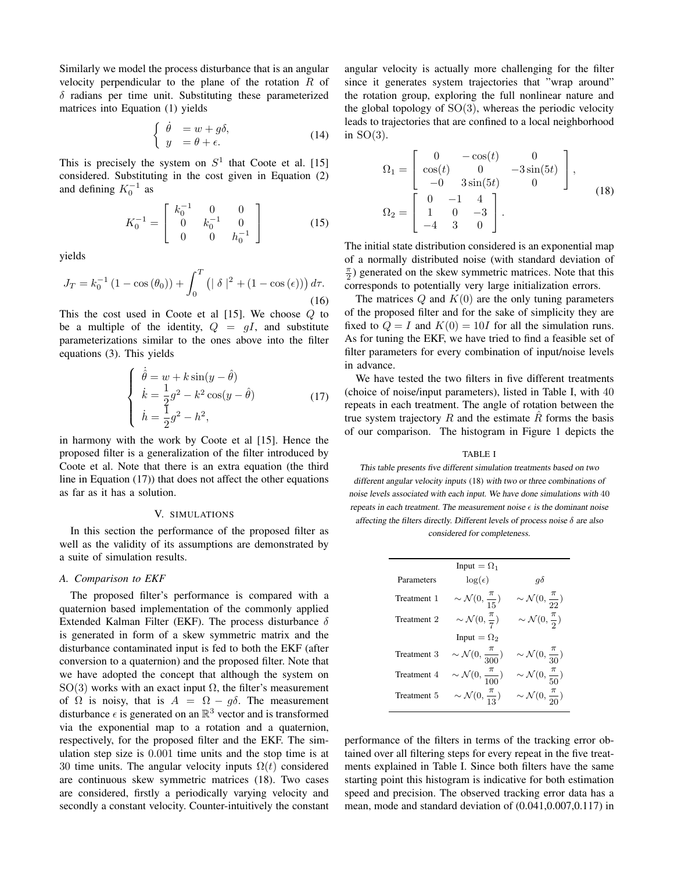Similarly we model the process disturbance that is an angular velocity perpendicular to the plane of the rotation R of  $\delta$  radians per time unit. Substituting these parameterized matrices into Equation (1) yields

$$
\begin{cases}\n\dot{\theta} = w + g\delta, \\
y = \theta + \epsilon.\n\end{cases}
$$
\n(14)

This is precisely the system on  $S^1$  that Coote et al. [15] considered. Substituting in the cost given in Equation (2) and defining  $K_0^{-1}$  as

$$
K_0^{-1} = \begin{bmatrix} k_0^{-1} & 0 & 0\\ 0 & k_0^{-1} & 0\\ 0 & 0 & h_0^{-1} \end{bmatrix}
$$
 (15)

yields

$$
J_T = k_0^{-1} (1 - \cos(\theta_0)) + \int_0^T \left( |\delta|^2 + (1 - \cos(\epsilon)) \right) d\tau.
$$
\n(16)

This the cost used in Coote et al  $[15]$ . We choose  $Q$  to be a multiple of the identity,  $Q = gI$ , and substitute parameterizations similar to the ones above into the filter equations (3). This yields

$$
\begin{cases}\n\dot{\hat{\theta}} = w + k \sin(y - \hat{\theta}) \\
\dot{k} = \frac{1}{2}g^2 - k^2 \cos(y - \hat{\theta}) \\
\dot{h} = \frac{1}{2}g^2 - h^2,\n\end{cases}
$$
\n(17)

in harmony with the work by Coote et al [15]. Hence the proposed filter is a generalization of the filter introduced by Coote et al. Note that there is an extra equation (the third line in Equation (17)) that does not affect the other equations as far as it has a solution.

### V. SIMULATIONS

In this section the performance of the proposed filter as well as the validity of its assumptions are demonstrated by a suite of simulation results.

## *A. Comparison to EKF*

The proposed filter's performance is compared with a quaternion based implementation of the commonly applied Extended Kalman Filter (EKF). The process disturbance  $\delta$ is generated in form of a skew symmetric matrix and the disturbance contaminated input is fed to both the EKF (after conversion to a quaternion) and the proposed filter. Note that we have adopted the concept that although the system on SO(3) works with an exact input  $\Omega$ , the filter's measurement of  $\Omega$  is noisy, that is  $A = \Omega - g\delta$ . The measurement disturbance  $\epsilon$  is generated on an  $\mathbb{R}^3$  vector and is transformed via the exponential map to a rotation and a quaternion, respectively, for the proposed filter and the EKF. The simulation step size is 0.001 time units and the stop time is at 30 time units. The angular velocity inputs  $\Omega(t)$  considered are continuous skew symmetric matrices (18). Two cases are considered, firstly a periodically varying velocity and secondly a constant velocity. Counter-intuitively the constant angular velocity is actually more challenging for the filter since it generates system trajectories that "wrap around" the rotation group, exploring the full nonlinear nature and the global topology of  $SO(3)$ , whereas the periodic velocity leads to trajectories that are confined to a local neighborhood in  $SO(3)$ .

$$
\Omega_1 = \begin{bmatrix} 0 & -\cos(t) & 0 \\ \cos(t) & 0 & -3\sin(5t) \\ -0 & 3\sin(5t) & 0 \end{bmatrix},
$$
  
\n
$$
\Omega_2 = \begin{bmatrix} 0 & -1 & 4 \\ 1 & 0 & -3 \\ -4 & 3 & 0 \end{bmatrix}.
$$
 (18)

The initial state distribution considered is an exponential map of a normally distributed noise (with standard deviation of  $\frac{\pi}{2}$ ) generated on the skew symmetric matrices. Note that this corresponds to potentially very large initialization errors.

The matrices  $Q$  and  $K(0)$  are the only tuning parameters of the proposed filter and for the sake of simplicity they are fixed to  $Q = I$  and  $K(0) = 10I$  for all the simulation runs. As for tuning the EKF, we have tried to find a feasible set of filter parameters for every combination of input/noise levels in advance.

We have tested the two filters in five different treatments (choice of noise/input parameters), listed in Table I, with 40 repeats in each treatment. The angle of rotation between the true system trajectory  $R$  and the estimate  $\hat{R}$  forms the basis of our comparison. The histogram in Figure 1 depicts the

#### TABLE I

This table presents five different simulation treatments based on two different angular velocity inputs (18) with two or three combinations of noise levels associated with each input. We have done simulations with 40 repeats in each treatment. The measurement noise  $\epsilon$  is the dominant noise affecting the filters directly. Different levels of process noise  $\delta$  are also

considered for completeness.

|             | Input = $\Omega_1$                     |                                       |
|-------------|----------------------------------------|---------------------------------------|
| Parameters  | $\log(\epsilon)$                       | $q\delta$                             |
| Treatment 1 | $\sim \mathcal{N}(0, \frac{\pi}{15})$  | $\sim \mathcal{N}(0, \frac{\pi}{22})$ |
| Treatment 2 | $\sim \mathcal{N}(0, \frac{\pi}{7})$   | $\sim \mathcal{N}(0, \frac{\pi}{2})$  |
|             | Input = $\Omega_2$                     |                                       |
| Treatment 3 | $\sim \mathcal{N}(0, \frac{\pi}{300})$ | $\sim \mathcal{N}(0, \frac{\pi}{30})$ |
| Treatment 4 | $\sim \mathcal{N}(0, \frac{\pi}{100})$ | $\sim \mathcal{N}(0, \frac{\pi}{50})$ |
| Treatment 5 | $\sim \mathcal{N}(0, \frac{\pi}{13})$  | $\sim \mathcal{N}(0, \frac{\pi}{20})$ |

performance of the filters in terms of the tracking error obtained over all filtering steps for every repeat in the five treatments explained in Table I. Since both filters have the same starting point this histogram is indicative for both estimation speed and precision. The observed tracking error data has a mean, mode and standard deviation of (0.041,0.007,0.117) in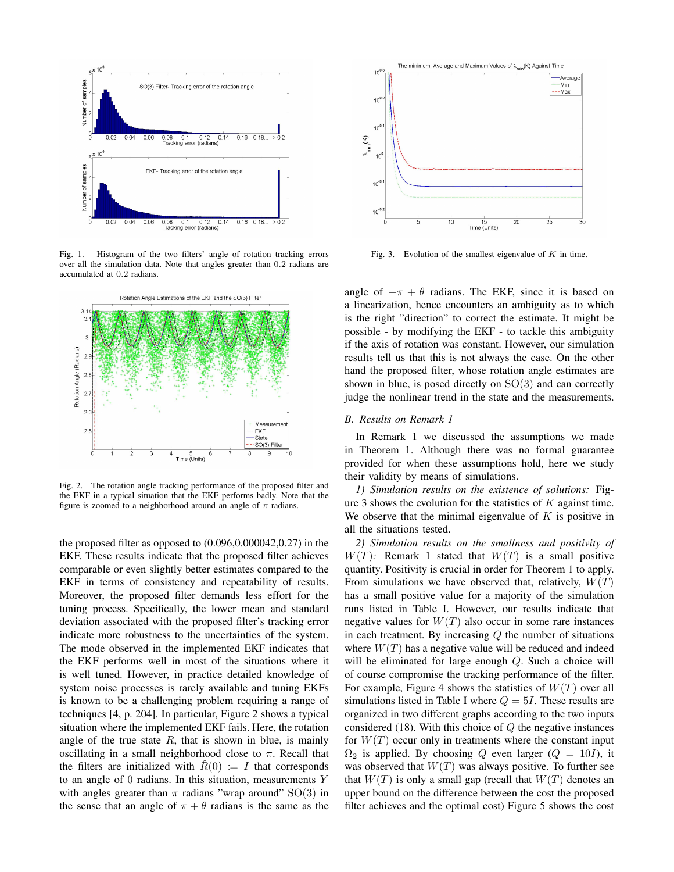

Fig. 1. Histogram of the two filters' angle of rotation tracking errors over all the simulation data. Note that angles greater than 0.2 radians are accumulated at 0.2 radians.



Fig. 2. The rotation angle tracking performance of the proposed filter and the EKF in a typical situation that the EKF performs badly. Note that the figure is zoomed to a neighborhood around an angle of  $\pi$  radians.

the proposed filter as opposed to  $(0.096, 0.000042, 0.27)$  in the EKF. These results indicate that the proposed filter achieves comparable or even slightly better estimates compared to the EKF in terms of consistency and repeatability of results. Moreover, the proposed filter demands less effort for the tuning process. Specifically, the lower mean and standard deviation associated with the proposed filter's tracking error indicate more robustness to the uncertainties of the system. The mode observed in the implemented EKF indicates that the EKF performs well in most of the situations where it is well tuned. However, in practice detailed knowledge of system noise processes is rarely available and tuning EKFs is known to be a challenging problem requiring a range of techniques [4, p. 204]. In particular, Figure 2 shows a typical situation where the implemented EKF fails. Here, the rotation angle of the true state  $R$ , that is shown in blue, is mainly oscillating in a small neighborhood close to  $\pi$ . Recall that the filters are initialized with  $R(0) := I$  that corresponds to an angle of 0 radians. In this situation, measurements Y with angles greater than  $\pi$  radians "wrap around" SO(3) in the sense that an angle of  $\pi + \theta$  radians is the same as the



Fig. 3. Evolution of the smallest eigenvalue of  $K$  in time.

angle of  $-\pi + \theta$  radians. The EKF, since it is based on a linearization, hence encounters an ambiguity as to which is the right "direction" to correct the estimate. It might be possible - by modifying the EKF - to tackle this ambiguity if the axis of rotation was constant. However, our simulation results tell us that this is not always the case. On the other hand the proposed filter, whose rotation angle estimates are shown in blue, is posed directly on  $SO(3)$  and can correctly judge the nonlinear trend in the state and the measurements.

## *B. Results on Remark 1*

In Remark 1 we discussed the assumptions we made in Theorem 1. Although there was no formal guarantee provided for when these assumptions hold, here we study their validity by means of simulations.

*1) Simulation results on the existence of solutions:* Figure 3 shows the evolution for the statistics of  $K$  against time. We observe that the minimal eigenvalue of  $K$  is positive in all the situations tested.

*2) Simulation results on the smallness and positivity of*  $W(T)$ : Remark 1 stated that  $W(T)$  is a small positive quantity. Positivity is crucial in order for Theorem 1 to apply. From simulations we have observed that, relatively,  $W(T)$ has a small positive value for a majority of the simulation runs listed in Table I. However, our results indicate that negative values for  $W(T)$  also occur in some rare instances in each treatment. By increasing  $Q$  the number of situations where  $W(T)$  has a negative value will be reduced and indeed will be eliminated for large enough Q. Such a choice will of course compromise the tracking performance of the filter. For example, Figure 4 shows the statistics of  $W(T)$  over all simulations listed in Table I where  $Q = 5I$ . These results are organized in two different graphs according to the two inputs considered  $(18)$ . With this choice of  $Q$  the negative instances for  $W(T)$  occur only in treatments where the constant input  $\Omega_2$  is applied. By choosing Q even larger ( $Q = 10I$ ), it was observed that  $W(T)$  was always positive. To further see that  $W(T)$  is only a small gap (recall that  $W(T)$  denotes an upper bound on the difference between the cost the proposed filter achieves and the optimal cost) Figure 5 shows the cost